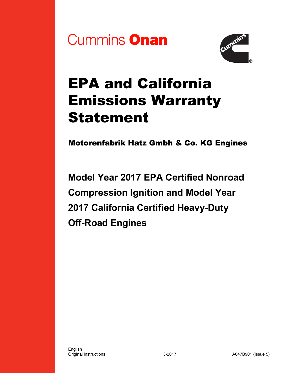



# EPA and California Emissions Warranty Statement

Motorenfabrik Hatz Gmbh & Co. KG Engines

**Model Year 2017 EPA Certified Nonroad Compression Ignition and Model Year 2017 California Certified Heavy-Duty Off-Road Engines**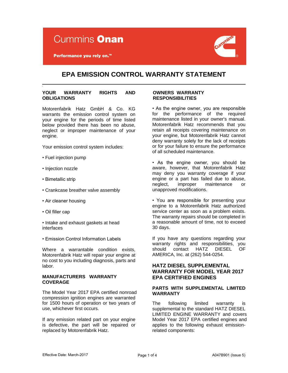

Performance you rely on.<sup>™</sup>



# **EPA EMISSION CONTROL WARRANTY STATEMENT**

## **YOUR WARRANTY RIGHTS AND OBLIGATIONS**

Motorenfabrik Hatz GmbH & Co. KG warrants the emission control system on your engine for the periods of time listed below provided there has been no abuse, neglect or improper maintenance of your engine.

Your emission control system includes:

- Fuel injection pump
- Injection nozzle
- Bimetallic strip
- Crankcase breather valve assembly
- Air cleaner housing
- Oil filler cap

• Intake and exhaust gaskets at head interfaces

• Emission Control Information Labels

Where a warrantable condition exists, Motorenfabrik Hatz will repair your engine at no cost to you including diagnosis, parts and labor.

## **MANUFACTURERS WARRANTY COVERAGE**

The Model Year 2017 EPA certified nonroad compression ignition engines are warranted for 1500 hours of operation or two years of use, whichever first occurs.

If any emission related part on your engine is defective, the part will be repaired or replaced by Motorenfabrik Hatz.

## **OWNERS WARRANTY RESPONSIBILITIES**

• As the engine owner, you are responsible for the performance of the required maintenance listed in your owner's manual. Motorenfabrik Hatz recommends that you retain all receipts covering maintenance on your engine, but Motorenfabrik Hatz cannot deny warranty solely for the lack of receipts or for your failure to ensure the performance of all scheduled maintenance.

• As the engine owner, you should be aware, however, that Motorenfabrik Hatz may deny you warranty coverage if your engine or a part has failed due to abuse, neglect, improper maintenance or unapproved modifications.

• You are responsible for presenting your engine to a Motorenfabrik Hatz authorized service center as soon as a problem exists. The warranty repairs should be completed in a reasonable amount of time, not to exceed 30 days.

If you have any questions regarding your warranty rights and responsibilities, you should contact HATZ DIESEL OF AMERICA, Inc. at (262) 544-0254.

## **HATZ DIESEL SUPPLEMENTAL WARRANTY FOR MODEL YEAR 2017 EPA CERTIFIED ENGINES**

## **PARTS WITH SUPPLEMENTAL LIMITED WARRANTY**

The following limited warranty is supplemental to the standard HATZ DIESEL LIMITED ENGINE WARRANTY and covers Model Year 2017 EPA certified engines and applies to the following exhaust emissionrelated components: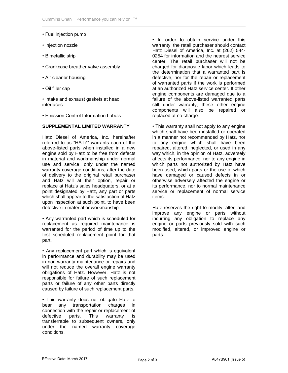- Fuel injection pump
- Injection nozzle
- Bimetallic strip
- Crankcase breather valve assembly
- Air cleaner housing
- Oil filler cap

• Intake and exhaust gaskets at head interfaces

• Emission Control Information Labels

## **SUPPLEMENTAL LIMITED WARRANTY**

Hatz Diesel of America, Inc. hereinafter referred to as "HATZ" warrants each of the above-listed parts when installed in a new engine sold by Hatz to be free from defects in material and workmanship under normal use and service, only under the named warranty coverage conditions, after the date of delivery to the original retail purchaser and Hatz will at their option, repair or replace at Hatz's sales headquaters, or at a point designated by Hatz, any part or parts which shall appear to the satisfaction of Hatz upon inspection at such point, to have been defective in material or workmanship.

• Any warranted part which is scheduled for replacement as required maintenance is warranted for the period of time up to the first scheduled replacement point for that part.

• Any replacement part which is equivalent in performance and durability may be used in non-warranty maintenance or repairs and will not reduce the overall engine warranty obligations of Hatz. However, Hatz is not responsible for failure of such replacement parts or failure of any other parts directly caused by failure of such replacement parts.

• This warranty does not obligate Hatz to bear any transportation charges in connection with the repair or replacement of<br>defective parts. This warranty is defective parts. This warranty is transferrable to subsequent owners, only under the named warranty coverage conditions.

• In order to obtain service under this warranty, the retail purchaser should contact Hatz Diesel of America, Inc. at (262) 544- 0254 for information and the nearest service center. The retail purchaser will not be charged for diagnostic labor which leads to the determination that a warranted part is defective, nor for the repair or replacement of warranted parts if the work is performed at an authorized Hatz service center. If other engine components are damaged due to a failure of the above-listed warranted parts still under warranty, these other engine components will also be repaired or replaced at no charge.

• This warranty shall not apply to any engine which shall have been installed or operated in a manner not recommended by Hatz, nor to any engine which shall have been repaired, altered, neglected, or used in any way which, in the opinion of Hatz, adversely affects its performance, nor to any engine in which parts not authorized by Hatz have been used, which parts or the use of which have damaged or caused defects in or otherwise adversely affected the engine or its performance, nor to normal maintenance service or replacement of normal service items.

Hatz reserves the right to modify, alter, and improve any engine or parts without incurring any obligation to replace any engine or parts previously sold with such modified, altered, or improved engine or parts.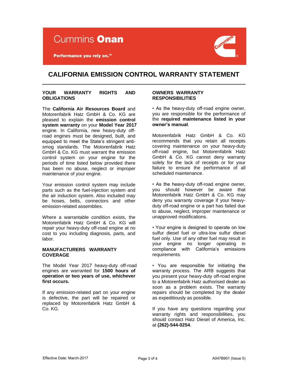

Performance you rely on.<sup>™</sup>



## **CALIFORNIA EMISSION CONTROL WARRANTY STATEMENT**

## **YOUR WARRANTY RIGHTS AND OBLIGATIONS**

The **California Air Resources Board** and Motorenfabrik Hatz GmbH & Co. KG are pleased to explain the **emission control system warranty** on your **Model Year 2017**  engine. In California, new heavy-duty offroad engines must be designed, built, and equipped to meet the State's stringent antismog standards. The Motorenfabrik Hatz GmbH & Co. KG must warrant the emission control system on your engine for the periods of time listed below provided there has been no abuse, neglect or improper maintenance of your engine.

Your emission control system may include parts such as the fuel-injection system and the air induction system. Also included may be hoses, belts, connectors and other emission-related assemblies.

Where a warrantable condition exists, the Motorenfabrik Hatz GmbH & Co. KG will repair your heavy-duty off-road engine at no cost to you including diagnosis, parts, and labor.

## **MANUFACTURERS WARRANTY COVERAGE**

The Model Year 2017 heavy-duty off-road engines are warranted for **1500 hours of operation or two years of use, whichever first occurs.** 

If any emission-related part on your engine is defective, the part will be repaired or replaced by Motorenfabrik Hatz GmbH & Co. KG.

## **OWNERS WARRANTY RESPONSIBILITIES**

• As the heavy-duty off-road engine owner, you are responsible for the performance of the **required maintenance listed in your owner's manual**.

Motorenfabrik Hatz GmbH & Co. KG recommends that you retain all receipts covering maintenance on your heavy-duty off-road engine, but Motorenfabrik Hatz GmbH & Co. KG cannot deny warranty solely for the lack of receipts or for your failure to ensure the performance of all scheduled maintenance.

• As the heavy-duty off-road engine owner, you should however be aware that Motorenfabrik Hatz GmbH & Co. KG may deny you warranty coverage if your heavyduty off-road engine or a part has failed due to abuse, neglect, improper maintenance or unapproved modifications.

• Your engine is designed to operate on low sulfur diesel fuel or ultra-low sulfur diesel fuel only. Use of any other fuel may result in your engine no longer operating in compliance with California's emissions requirements.

• You are responsible for initiating the warranty process. The ARB suggests that you present your heavy-duty off-road engine to a Motorenfabrik Hatz authorised dealer as soon as a problem exists. The warranty repairs should be completed by the dealer as expeditiously as possible.

If you have any questions regarding your warranty rights and responsibilities, you should contact Hatz Diesel of America, Inc. at **(262)-544-0254**.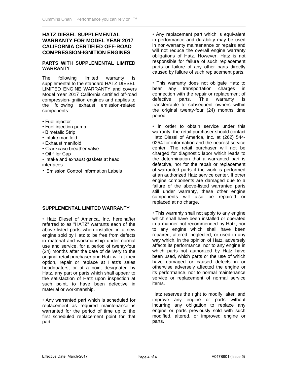## **HATZ DIESEL SUPPLEMENTAL WARRANTY FOR MODEL YEAR 2017 CALIFORNIA CERTIFIED OFF-ROAD COMPRESSION-IGNITION ENGINES**

## **PARTS WITH SUPPLEMENTAL LIMITED WARRANTY**

The following limited warranty is supplemental to the standard HATZ DIESEL LIMITED ENGINE WARRANTY and covers Model Year 2017 California certified off-road compression-ignition engines and applies to the following exhaust emission-related components:

- Fuel injector
- Fuel injection pump
- Bimetalic Strip
- Intake manifold
- Exhaust manifold
- Crankcase breather valve
- Oil filler Cap
- Intake and exhaust gaskets at head interfaces
- Emission Control Information Labels

## **SUPPLEMENTAL LIMITED WARRANTY**

• Hatz Diesel of America, Inc. hereinafter referred to as "HATZ" warrants each of the above-listed parts when installed in a new engine sold by Hatz to be free from defects in material and workmanship under normal use and service, for a period of twenty-four (24) months after the date of delivery to the original retail purchaser and Hatz will at their option, repair or replace at Hatz's sales headquaters, or at a point designated by Hatz, any part or parts which shall appear to the satisfaction of Hatz upon inspection at such point, to have been defective in material or workmanship.

• Any warranted part which is scheduled for replacement as required maintenance is warranted for the period of time up to the first scheduled replacement point for that part.

• Any replacement part which is equivalent in performance and durability may be used in non-warranty maintenance or repairs and will not reduce the overall engine warranty obligations of Hatz. However, Hatz is not responsible for failure of such replacement parts or failure of any other parts directly caused by failure of such replacement parts.

• This warranty does not obligate Hatz to bear any transportation charges in connection with the repair or replacement of defective parts. This warranty is transferrable to subsequent owners within the original twenty-four (24) months time period.

• In order to obtain service under this warranty, the retail purchaser should contact Hatz Diesel of America, Inc. at (262) 544- 0254 for information and the nearest service center. The retail purchaser will not be charged for diagnostic labor which leads to the determination that a warranted part is defective, nor for the repair or replacement of warranted parts if the work is performed at an authorized Hatz service center. If other engine components are damaged due to a failure of the above-listed warranted parts still under warranty, these other engine components will also be repaired or replaced at no charge.

• This warranty shall not apply to any engine which shall have been installed or operated in a manner not recommended by Hatz, nor to any engine which shall have been repaired, altered, neglected, or used in any way which, in the opinion of Hatz, adversely affects its performance, nor to any engine in which parts not authorized by Hatz have been used, which parts or the use of which have damaged or caused defects in or otherwise adversely affected the engine or its performance, nor to normal maintenance service or replacement of normal service items.

Hatz reserves the right to modify, alter, and improve any engine or parts without incurring any obligation to replace any engine or parts previously sold with such modified, altered, or improved engine or parts.